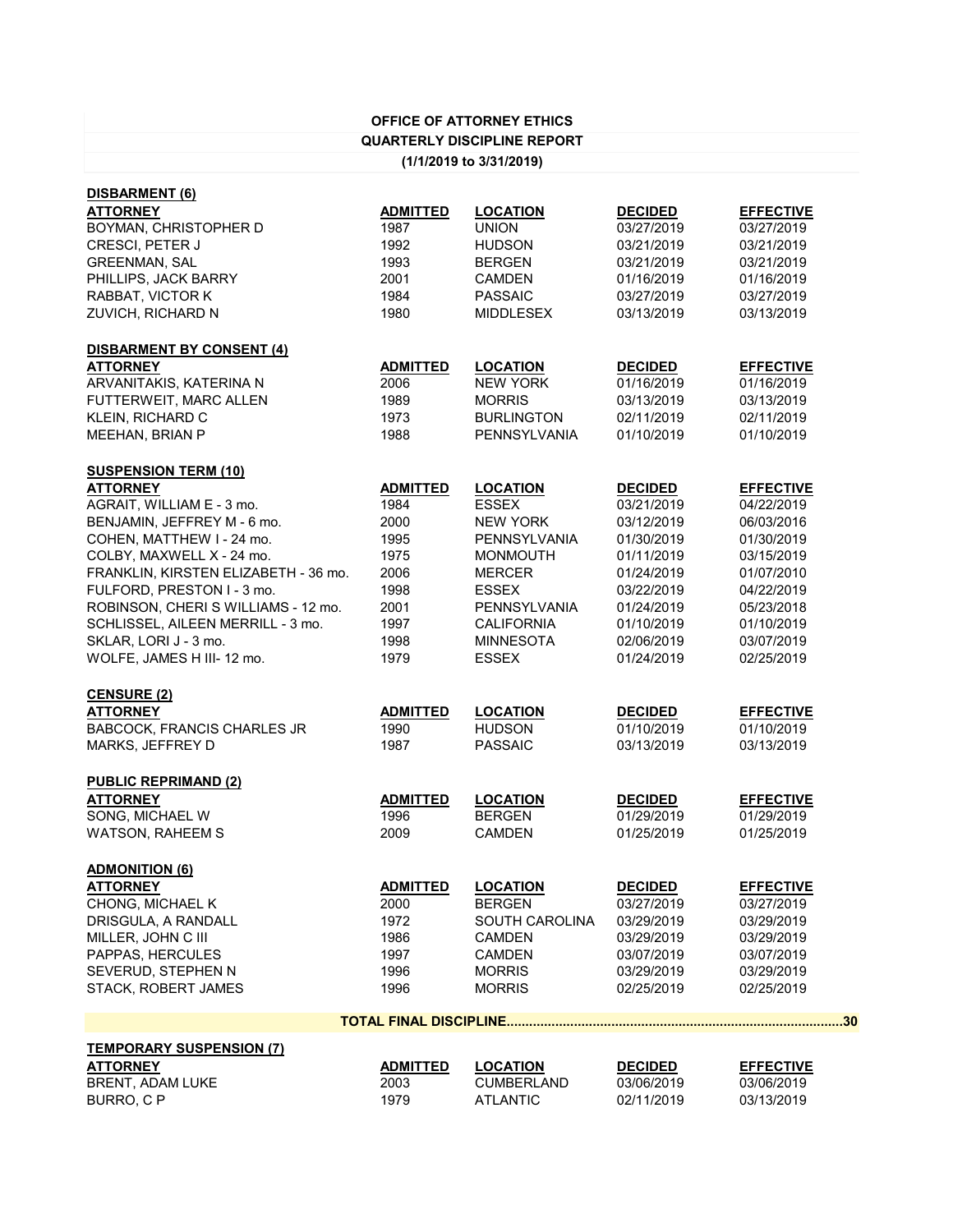| <b>OFFICE OF ATTORNEY ETHICS</b>     |                 |                                    |                |                  |  |  |
|--------------------------------------|-----------------|------------------------------------|----------------|------------------|--|--|
|                                      |                 | <b>QUARTERLY DISCIPLINE REPORT</b> |                |                  |  |  |
| (1/1/2019 to 3/31/2019)              |                 |                                    |                |                  |  |  |
| <b>DISBARMENT (6)</b>                |                 |                                    |                |                  |  |  |
| <b>ATTORNEY</b>                      | <b>ADMITTED</b> | <b>LOCATION</b>                    | <b>DECIDED</b> | <b>EFFECTIVE</b> |  |  |
| BOYMAN, CHRISTOPHER D                | 1987            | <b>UNION</b>                       | 03/27/2019     | 03/27/2019       |  |  |
| <b>CRESCI, PETER J</b>               | 1992            | <b>HUDSON</b>                      | 03/21/2019     | 03/21/2019       |  |  |
| <b>GREENMAN, SAL</b>                 | 1993            | <b>BERGEN</b>                      | 03/21/2019     | 03/21/2019       |  |  |
| PHILLIPS, JACK BARRY                 | 2001            | <b>CAMDEN</b>                      | 01/16/2019     | 01/16/2019       |  |  |
| RABBAT, VICTOR K                     | 1984            | <b>PASSAIC</b>                     | 03/27/2019     | 03/27/2019       |  |  |
| ZUVICH, RICHARD N                    | 1980            | <b>MIDDLESEX</b>                   | 03/13/2019     | 03/13/2019       |  |  |
| <b>DISBARMENT BY CONSENT (4)</b>     |                 |                                    |                |                  |  |  |
| <b>ATTORNEY</b>                      | <b>ADMITTED</b> | <b>LOCATION</b>                    | <b>DECIDED</b> | <b>EFFECTIVE</b> |  |  |
| ARVANITAKIS, KATERINA N              | 2006            | <b>NEW YORK</b>                    | 01/16/2019     | 01/16/2019       |  |  |
| FUTTERWEIT, MARC ALLEN               | 1989            | <b>MORRIS</b>                      | 03/13/2019     | 03/13/2019       |  |  |
| <b>KLEIN, RICHARD C</b>              | 1973            | <b>BURLINGTON</b>                  | 02/11/2019     | 02/11/2019       |  |  |
| MEEHAN, BRIAN P                      | 1988            | <b>PENNSYLVANIA</b>                | 01/10/2019     | 01/10/2019       |  |  |
| <b>SUSPENSION TERM (10)</b>          |                 |                                    |                |                  |  |  |
| <b>ATTORNEY</b>                      | <b>ADMITTED</b> | <b>LOCATION</b>                    | <b>DECIDED</b> | <b>EFFECTIVE</b> |  |  |
| AGRAIT, WILLIAM E - 3 mo.            | 1984            | <b>ESSEX</b>                       | 03/21/2019     | 04/22/2019       |  |  |
| BENJAMIN, JEFFREY M - 6 mo.          | 2000            | <b>NEW YORK</b>                    | 03/12/2019     | 06/03/2016       |  |  |
| COHEN, MATTHEW I - 24 mo.            | 1995            | <b>PENNSYLVANIA</b>                | 01/30/2019     | 01/30/2019       |  |  |
| COLBY, MAXWELL X - 24 mo.            | 1975            | <b>MONMOUTH</b>                    | 01/11/2019     | 03/15/2019       |  |  |
| FRANKLIN, KIRSTEN ELIZABETH - 36 mo. | 2006            | <b>MERCER</b>                      | 01/24/2019     | 01/07/2010       |  |  |
| FULFORD, PRESTON I - 3 mo.           | 1998            | <b>ESSEX</b>                       | 03/22/2019     | 04/22/2019       |  |  |
| ROBINSON, CHERI S WILLIAMS - 12 mo.  | 2001            | <b>PENNSYLVANIA</b>                | 01/24/2019     | 05/23/2018       |  |  |
| SCHLISSEL, AILEEN MERRILL - 3 mo.    | 1997            | <b>CALIFORNIA</b>                  | 01/10/2019     | 01/10/2019       |  |  |
| SKLAR, LORI J - 3 mo.                | 1998            | <b>MINNESOTA</b>                   | 02/06/2019     | 03/07/2019       |  |  |
| WOLFE, JAMES H III-12 mo.            | 1979            | <b>ESSEX</b>                       | 01/24/2019     | 02/25/2019       |  |  |
| <b>CENSURE (2)</b>                   |                 |                                    |                |                  |  |  |
| <b>ATTORNEY</b>                      | <b>ADMITTED</b> | <b>LOCATION</b>                    | <b>DECIDED</b> | <b>EFFECTIVE</b> |  |  |
| <b>BABCOCK, FRANCIS CHARLES JR</b>   | 1990            | <b>HUDSON</b>                      | 01/10/2019     | 01/10/2019       |  |  |
| MARKS, JEFFREY D                     | 1987            | <b>PASSAIC</b>                     | 03/13/2019     | 03/13/2019       |  |  |
| <b>PUBLIC REPRIMAND (2)</b>          |                 |                                    |                |                  |  |  |
| <b>ATTORNEY</b>                      | <b>ADMITTED</b> | <b>LOCATION</b>                    | <b>DECIDED</b> | <b>EFFECTIVE</b> |  |  |
| SONG, MICHAEL W                      | 1996            | <b>BERGEN</b>                      | 01/29/2019     | 01/29/2019       |  |  |
| <b>WATSON, RAHEEM S</b>              | 2009            | <b>CAMDEN</b>                      | 01/25/2019     | 01/25/2019       |  |  |
| <b>ADMONITION (6)</b>                |                 |                                    |                |                  |  |  |
| <b>ATTORNEY</b>                      | <b>ADMITTED</b> | <b>LOCATION</b>                    | <b>DECIDED</b> | <b>EFFECTIVE</b> |  |  |

| .                          | , \_, ,,, , , _ <u>_</u> | --------              | -------    |            |
|----------------------------|--------------------------|-----------------------|------------|------------|
| <b>CHONG, MICHAEL K</b>    | 2000                     | <b>BERGEN</b>         | 03/27/2019 | 03/27/2019 |
| DRISGULA, A RANDALL        | 1972                     | <b>SOUTH CAROLINA</b> | 03/29/2019 | 03/29/2019 |
| MILLER, JOHN C III         | 1986                     | <b>CAMDEN</b>         | 03/29/2019 | 03/29/2019 |
| <b>PAPPAS, HERCULES</b>    | 1997                     | <b>CAMDEN</b>         | 03/07/2019 | 03/07/2019 |
| SEVERUD, STEPHEN N         | 1996                     | <b>MORRIS</b>         | 03/29/2019 | 03/29/2019 |
| <b>STACK, ROBERT JAMES</b> | 1996                     | <b>MORRIS</b>         | 02/25/2019 | 02/25/2019 |
|                            |                          |                       |            |            |

|                                 |                 |                   |                | 30               |
|---------------------------------|-----------------|-------------------|----------------|------------------|
| <b>TEMPORARY SUSPENSION (7)</b> |                 |                   |                |                  |
| <b>ATTORNEY</b>                 | <b>ADMITTED</b> | <b>LOCATION</b>   | <b>DECIDED</b> | <b>EFFECTIVE</b> |
| BRENT, ADAM LUKE                | 2003            | <b>CUMBERLAND</b> | 03/06/2019     | 03/06/2019       |
| BURRO, C P                      | 1979            | ATLANTIC          | 02/11/2019     | 03/13/2019       |